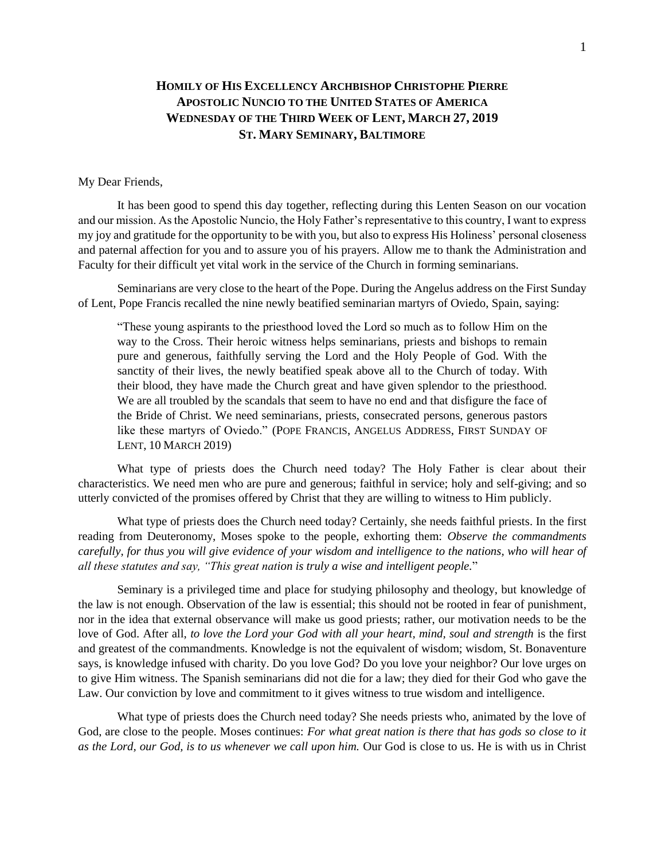## **HOMILY OF HIS EXCELLENCY ARCHBISHOP CHRISTOPHE PIERRE APOSTOLIC NUNCIO TO THE UNITED STATES OF AMERICA WEDNESDAY OF THE THIRD WEEK OF LENT, MARCH 27, 2019 ST. MARY SEMINARY, BALTIMORE**

## My Dear Friends,

It has been good to spend this day together, reflecting during this Lenten Season on our vocation and our mission. As the Apostolic Nuncio, the Holy Father's representative to this country, I want to express my joy and gratitude for the opportunity to be with you, but also to express His Holiness' personal closeness and paternal affection for you and to assure you of his prayers. Allow me to thank the Administration and Faculty for their difficult yet vital work in the service of the Church in forming seminarians.

Seminarians are very close to the heart of the Pope. During the Angelus address on the First Sunday of Lent, Pope Francis recalled the nine newly beatified seminarian martyrs of Oviedo, Spain, saying:

"These young aspirants to the priesthood loved the Lord so much as to follow Him on the way to the Cross. Their heroic witness helps seminarians, priests and bishops to remain pure and generous, faithfully serving the Lord and the Holy People of God. With the sanctity of their lives, the newly beatified speak above all to the Church of today. With their blood, they have made the Church great and have given splendor to the priesthood. We are all troubled by the scandals that seem to have no end and that disfigure the face of the Bride of Christ. We need seminarians, priests, consecrated persons, generous pastors like these martyrs of Oviedo." (POPE FRANCIS, ANGELUS ADDRESS, FIRST SUNDAY OF LENT, 10 MARCH 2019)

What type of priests does the Church need today? The Holy Father is clear about their characteristics. We need men who are pure and generous; faithful in service; holy and self-giving; and so utterly convicted of the promises offered by Christ that they are willing to witness to Him publicly.

What type of priests does the Church need today? Certainly, she needs faithful priests. In the first reading from Deuteronomy, Moses spoke to the people, exhorting them: *Observe the commandments carefully, for thus you will give evidence of your wisdom and intelligence to the nations, who will hear of all these statutes and say, "This great nation is truly a wise and intelligent people.*"

Seminary is a privileged time and place for studying philosophy and theology, but knowledge of the law is not enough. Observation of the law is essential; this should not be rooted in fear of punishment, nor in the idea that external observance will make us good priests; rather, our motivation needs to be the love of God. After all, *to love the Lord your God with all your heart, mind, soul and strength* is the first and greatest of the commandments. Knowledge is not the equivalent of wisdom; wisdom, St. Bonaventure says, is knowledge infused with charity. Do you love God? Do you love your neighbor? Our love urges on to give Him witness. The Spanish seminarians did not die for a law; they died for their God who gave the Law. Our conviction by love and commitment to it gives witness to true wisdom and intelligence.

What type of priests does the Church need today? She needs priests who, animated by the love of God, are close to the people. Moses continues: *For what great nation is there that has gods so close to it as the Lord, our God, is to us whenever we call upon him.* Our God is close to us. He is with us in Christ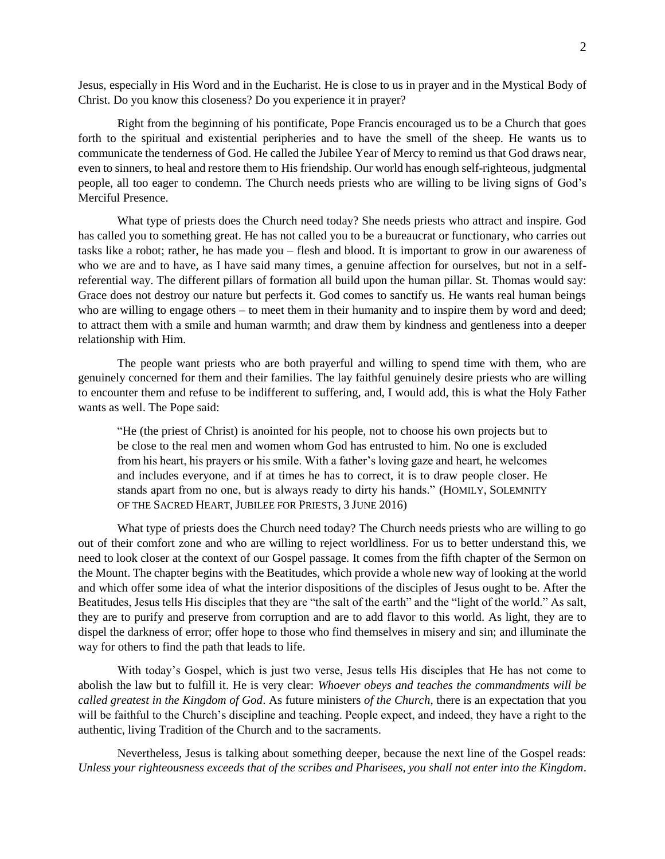Jesus, especially in His Word and in the Eucharist. He is close to us in prayer and in the Mystical Body of Christ. Do you know this closeness? Do you experience it in prayer?

Right from the beginning of his pontificate, Pope Francis encouraged us to be a Church that goes forth to the spiritual and existential peripheries and to have the smell of the sheep. He wants us to communicate the tenderness of God. He called the Jubilee Year of Mercy to remind us that God draws near, even to sinners, to heal and restore them to His friendship. Our world has enough self-righteous, judgmental people, all too eager to condemn. The Church needs priests who are willing to be living signs of God's Merciful Presence.

What type of priests does the Church need today? She needs priests who attract and inspire. God has called you to something great. He has not called you to be a bureaucrat or functionary, who carries out tasks like a robot; rather, he has made you – flesh and blood. It is important to grow in our awareness of who we are and to have, as I have said many times, a genuine affection for ourselves, but not in a selfreferential way. The different pillars of formation all build upon the human pillar. St. Thomas would say: Grace does not destroy our nature but perfects it. God comes to sanctify us. He wants real human beings who are willing to engage others – to meet them in their humanity and to inspire them by word and deed; to attract them with a smile and human warmth; and draw them by kindness and gentleness into a deeper relationship with Him.

The people want priests who are both prayerful and willing to spend time with them, who are genuinely concerned for them and their families. The lay faithful genuinely desire priests who are willing to encounter them and refuse to be indifferent to suffering, and, I would add, this is what the Holy Father wants as well. The Pope said:

"He (the priest of Christ) is anointed for his people, not to choose his own projects but to be close to the real men and women whom God has entrusted to him. No one is excluded from his heart, his prayers or his smile. With a father's loving gaze and heart, he welcomes and includes everyone, and if at times he has to correct, it is to draw people closer. He stands apart from no one, but is always ready to dirty his hands." (HOMILY, SOLEMNITY OF THE SACRED HEART, JUBILEE FOR PRIESTS, 3 JUNE 2016)

What type of priests does the Church need today? The Church needs priests who are willing to go out of their comfort zone and who are willing to reject worldliness. For us to better understand this, we need to look closer at the context of our Gospel passage. It comes from the fifth chapter of the Sermon on the Mount. The chapter begins with the Beatitudes, which provide a whole new way of looking at the world and which offer some idea of what the interior dispositions of the disciples of Jesus ought to be. After the Beatitudes, Jesus tells His disciples that they are "the salt of the earth" and the "light of the world." As salt, they are to purify and preserve from corruption and are to add flavor to this world. As light, they are to dispel the darkness of error; offer hope to those who find themselves in misery and sin; and illuminate the way for others to find the path that leads to life.

With today's Gospel, which is just two verse, Jesus tells His disciples that He has not come to abolish the law but to fulfill it. He is very clear: *Whoever obeys and teaches the commandments will be called greatest in the Kingdom of God*. As future ministers *of the Church*, there is an expectation that you will be faithful to the Church's discipline and teaching. People expect, and indeed, they have a right to the authentic, living Tradition of the Church and to the sacraments.

Nevertheless, Jesus is talking about something deeper, because the next line of the Gospel reads: *Unless your righteousness exceeds that of the scribes and Pharisees, you shall not enter into the Kingdom*.